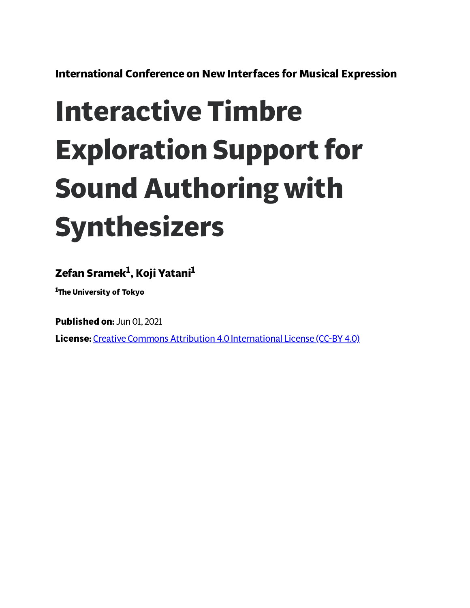**International Conference on New Interfaces for Musical Expression**

# **Interactive Timbre Exploration Support for Sound Authoring with Synthesizers**

## **Zefan Sramek 1 , Koji Yatani 1**

**<sup>1</sup>The University of Tokyo**

**Published on:** Jun 01, 2021

**License:** Creative Commons Attribution 4.0 [International](https://creativecommons.org/licenses/by/4.0/) License (CC-BY 4.0)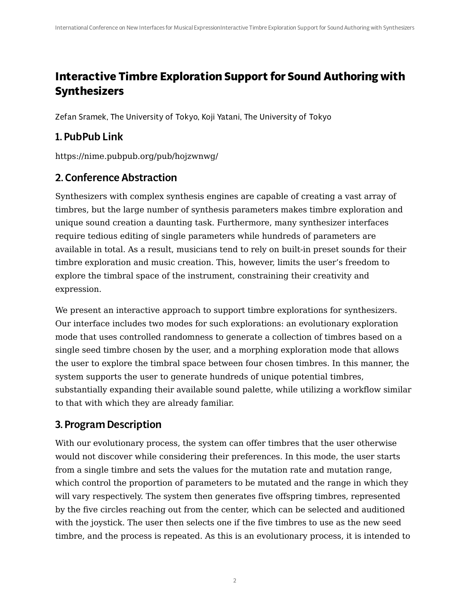## **Interactive Timbre Exploration Support for Sound Authoring with Synthesizers**

Zefan Sramek, The University of Tokyo, Koji Yatani, The University of Tokyo

### 1. PubPub Link

https://nime.pubpub.org/pub/hojzwnwg/

### 2. Conference Abstraction

Synthesizers with complex synthesis engines are capable of creating a vast array of timbres, but the large number of synthesis parameters makes timbre exploration and unique sound creation a daunting task. Furthermore, many synthesizer interfaces require tedious editing of single parameters while hundreds of parameters are available in total. As a result, musicians tend to rely on built-in preset sounds for their timbre exploration and music creation. This, however, limits the user's freedom to explore the timbral space of the instrument, constraining their creativity and expression.

We present an interactive approach to support timbre explorations for synthesizers. Our interface includes two modes for such explorations: an evolutionary exploration mode that uses controlled randomness to generate a collection of timbres based on a single seed timbre chosen by the user, and a morphing exploration mode that allows the user to explore the timbral space between four chosen timbres. In this manner, the system supports the user to generate hundreds of unique potential timbres, substantially expanding their available sound palette, while utilizing a workflow similar to that with which they are already familiar.

#### 3. Program Description

With our evolutionary process, the system can offer timbres that the user otherwise would not discover while considering their preferences. In this mode, the user starts from a single timbre and sets the values for the mutation rate and mutation range, which control the proportion of parameters to be mutated and the range in which they will vary respectively. The system then generates five offspring timbres, represented by the five circles reaching out from the center, which can be selected and auditioned with the joystick. The user then selects one if the five timbres to use as the new seed timbre, and the process is repeated. As this is an evolutionary process, it is intended to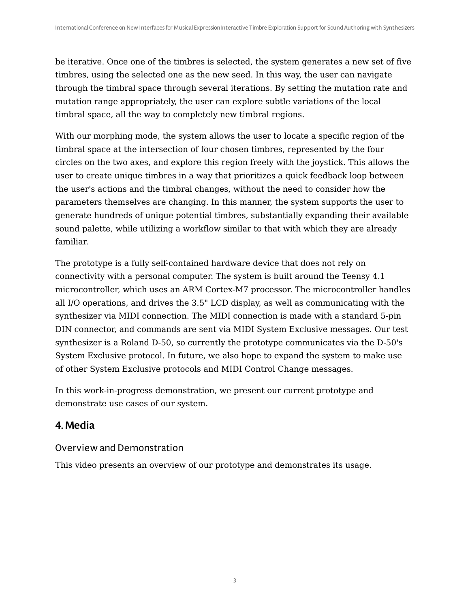be iterative. Once one of the timbres is selected, the system generates a new set of five timbres, using the selected one as the new seed. In this way, the user can navigate through the timbral space through several iterations. By setting the mutation rate and mutation range appropriately, the user can explore subtle variations of the local timbral space, all the way to completely new timbral regions.

With our morphing mode, the system allows the user to locate a specific region of the timbral space at the intersection of four chosen timbres, represented by the four circles on the two axes, and explore this region freely with the joystick. This allows the user to create unique timbres in a way that prioritizes a quick feedback loop between the user's actions and the timbral changes, without the need to consider how the parameters themselves are changing. In this manner, the system supports the user to generate hundreds of unique potential timbres, substantially expanding their available sound palette, while utilizing a workflow similar to that with which they are already familiar.

The prototype is a fully self-contained hardware device that does not rely on connectivity with a personal computer. The system is built around the Teensy 4.1 microcontroller, which uses an ARM Cortex-M7 processor. The microcontroller handles all I/O operations, and drives the 3.5" LCD display, as well as communicating with the synthesizer via MIDI connection. The MIDI connection is made with a standard 5-pin DIN connector, and commands are sent via MIDI System Exclusive messages. Our test synthesizer is a Roland D-50, so currently the prototype communicates via the D-50's System Exclusive protocol. In future, we also hope to expand the system to make use of other System Exclusive protocols and MIDI Control Change messages.

In this work-in-progress demonstration, we present our current prototype and demonstrate use cases of our system.

#### 4. Media

#### Overview and Demonstration

This video presents an overview of our prototype and demonstrates its usage.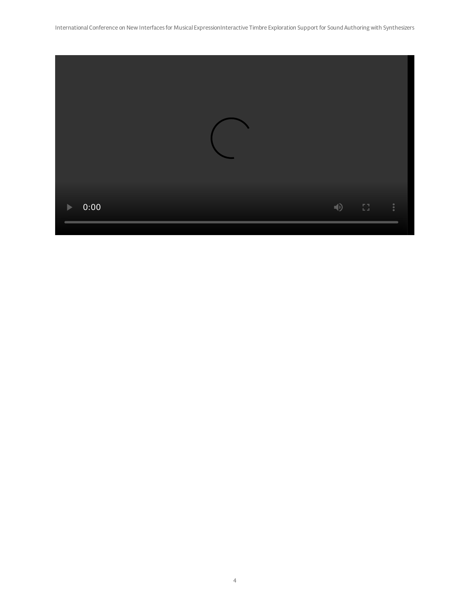International Conference on New Interfaces for Musical ExpressionInteractive Timbre Exploration Support for Sound Authoring with Synthesizers

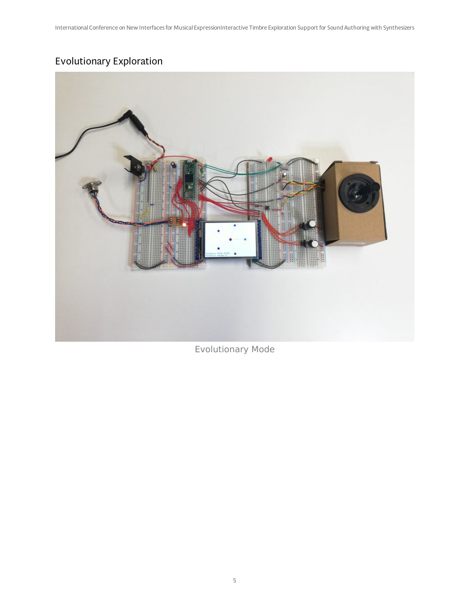## Evolutionary Exploration



Evolutionary Mode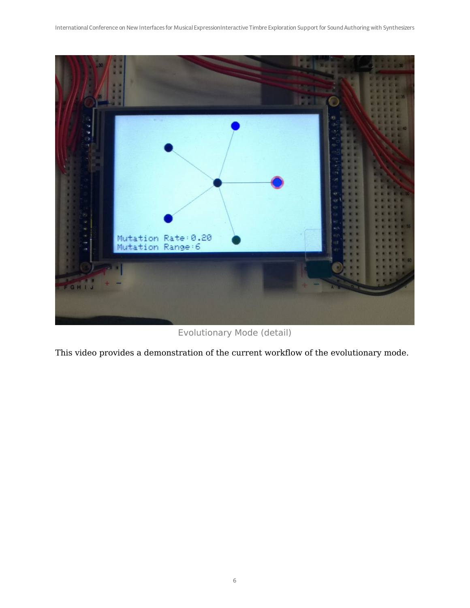

Evolutionary Mode (detail)

This video provides a demonstration of the current workflow of the evolutionary mode.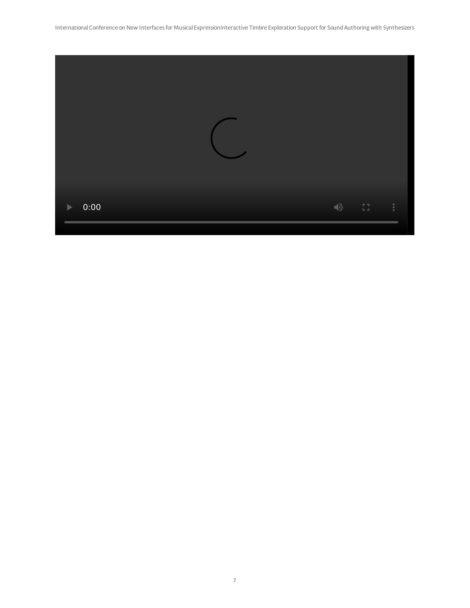International Conference on New Interfaces for Musical ExpressionInteractive Timbre Exploration Support for Sound Authoring with Synthesizers

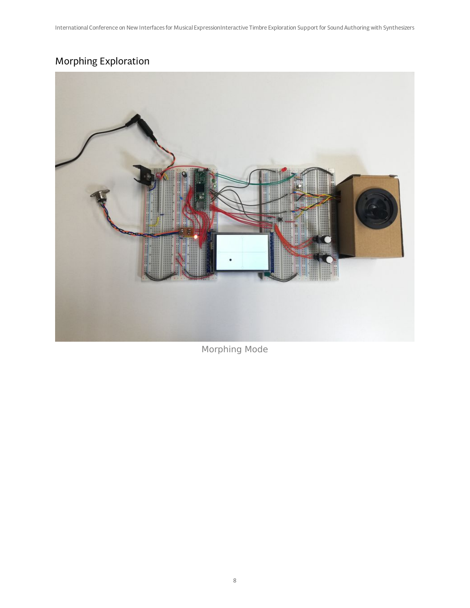# Morphing Exploration



Morphing Mode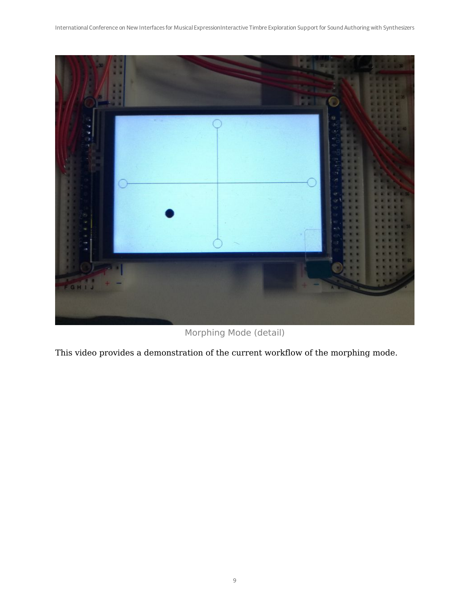

Morphing Mode (detail)

This video provides a demonstration of the current workflow of the morphing mode.